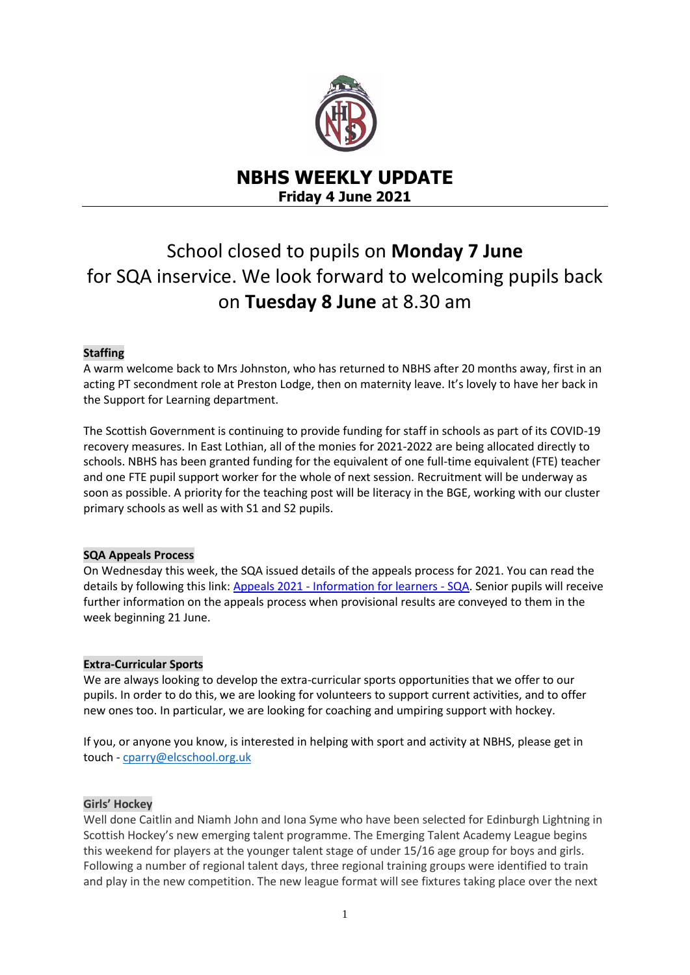

# **NBHS WEEKLY UPDATE Friday 4 June 2021**

# School closed to pupils on **Monday 7 June** for SQA inservice. We look forward to welcoming pupils back on **Tuesday 8 June** at 8.30 am

# **Staffing**

A warm welcome back to Mrs Johnston, who has returned to NBHS after 20 months away, first in an acting PT secondment role at Preston Lodge, then on maternity leave. It's lovely to have her back in the Support for Learning department.

The Scottish Government is continuing to provide funding for staff in schools as part of its COVID-19 recovery measures. In East Lothian, all of the monies for 2021-2022 are being allocated directly to schools. NBHS has been granted funding for the equivalent of one full-time equivalent (FTE) teacher and one FTE pupil support worker for the whole of next session. Recruitment will be underway as soon as possible. A priority for the teaching post will be literacy in the BGE, working with our cluster primary schools as well as with S1 and S2 pupils.

#### **SQA Appeals Process**

On Wednesday this week, the SQA issued details of the appeals process for 2021. You can read the details by following this link: Appeals 2021 - [Information for](https://www.sqa.org.uk/sqa/79049.html) learners - SQA. Senior pupils will receive further information on the appeals process when provisional results are conveyed to them in the week beginning 21 June.

#### **Extra-Curricular Sports**

We are always looking to develop the extra-curricular sports opportunities that we offer to our pupils. In order to do this, we are looking for volunteers to support current activities, and to offer new ones too. In particular, we are looking for coaching and umpiring support with hockey.

If you, or anyone you know, is interested in helping with sport and activity at NBHS, please get in touch - [cparry@elcschool.org.uk](mailto:cparry@elcschool.org.uk)

#### **Girls' Hockey**

Well done Caitlin and Niamh John and Iona Syme who have been selected for Edinburgh Lightning in Scottish Hockey's new emerging talent programme. The Emerging Talent Academy League begins this weekend for players at the younger talent stage of under 15/16 age group for boys and girls. Following a number of regional talent days, three regional training groups were identified to train and play in the new competition. The new league format will see fixtures taking place over the next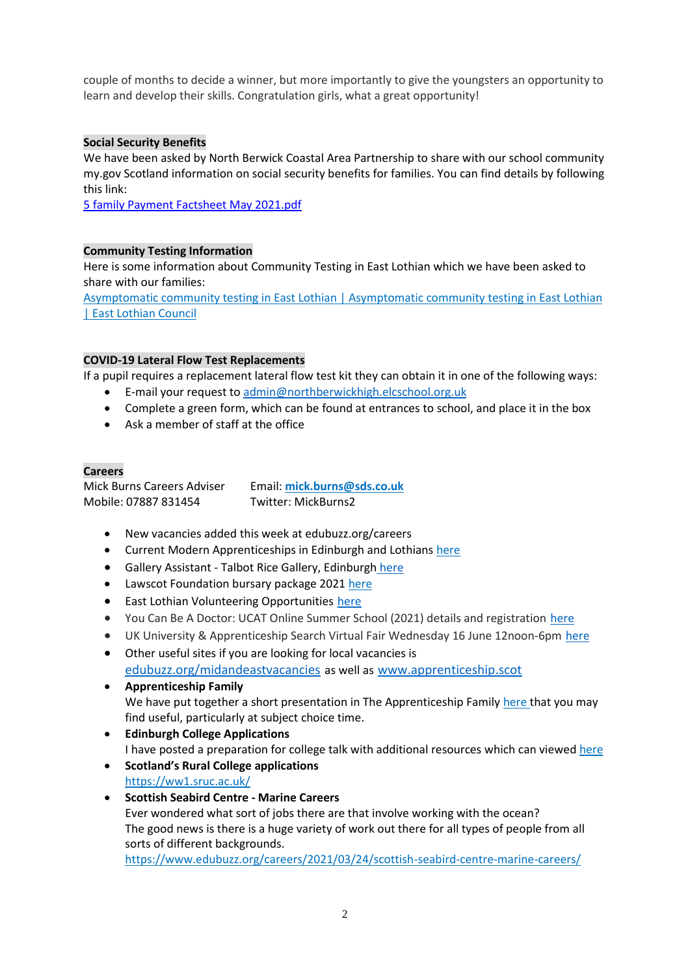couple of months to decide a winner, but more importantly to give the youngsters an opportunity to learn and develop their skills. Congratulation girls, what a great opportunity!

# **Social Security Benefits**

We have been asked by North Berwick Coastal Area Partnership to share with our school community my.gov Scotland information on social security benefits for families. You can find details by following this link:

[5 family Payment Factsheet May 2021.pdf](file:///C:/Users/nbrodgl/AppData/Local/Microsoft/Windows/INetCache/Content.Outlook/B2EZQH4U/5%20family%20Payment%20Factsheet%20May%202021.pdf)

# **Community Testing Information**

Here is some information about Community Testing in East Lothian which we have been asked to share with our families:

[Asymptomatic community testing in East Lothian | Asymptomatic community testing in East Lothian](https://www.eastlothian.gov.uk/info/210634/covid-19/12622/asymptomatic_community_testing_in_east_lothian)  [| East Lothian Council](https://www.eastlothian.gov.uk/info/210634/covid-19/12622/asymptomatic_community_testing_in_east_lothian)

# **COVID-19 Lateral Flow Test Replacements**

If a pupil requires a replacement lateral flow test kit they can obtain it in one of the following ways:

- E-mail your request to [admin@northberwickhigh.elcschool.org.uk](mailto:admin@northberwickhigh.elcschool.org.uk)
- Complete a green form, which can be found at entrances to school, and place it in the box
- Ask a member of staff at the office

#### **Careers**

Mick Burns Careers Adviser Email: **[mick.burns@sds.co.uk](https://mail.elcschool.org.uk/owa/redir.aspx?C=fbGa3DGVrsUoQB2CnJP23eXwMGzxu7J1CtarT6dTOwkq_NlpJujXCA..&URL=mailto%3amick.burns%40sds.co.uk)** Mobile: 07887 831454 Twitter: MickBurns2

- New vacancies added this week at edubuzz.org/careers
- Current Modern Apprenticeships in Edinburgh and Lothians [here](https://www.edubuzz.org/careers/2021/05/12/modern-apprenticeship-vacancies-12/)
- Gallery Assistant Talbot Rice Gallery, Edinburgh [here](https://www.edubuzz.org/careers/2021/06/01/gallery-assistant-talbot-rice-gallery-edinburgh/)
- Lawscot Foundation bursary package 2021 [here](https://www.edubuzz.org/careers/2021/05/04/lawscot-foundation-bursary-package-2021/)
- **•** East Lothian Volunteering Opportunities [here](https://www.edubuzz.org/careers/2021/05/19/volunteering-with-can-do-east-lothian/)
- You Can Be A Doctor: UCAT Online Summer School (2021) details and registration [here](https://www.edubuzz.org/careers/2021/06/03/you-can-be-a-doctor-ucat-online-summer-school-2021/)
- UK University & Apprenticeship Search Virtual Fair Wednesday 16 June 12noon-6pm [here](https://www.edubuzz.org/careers/2021/06/01/uk-university-apprenticeship-search-virtual-fair/)
- Other useful sites if you are looking for local vacancies is [edubuzz.org/midandeastvacancies](file:///C:/Users/nbedwak/AppData/Local/Microsoft/Windows/INetCache/IE/UGEZMYAG/edubuzz.org/midandeastvacancies) as well as [www.apprenticeship.scot](http://www.apprenticeship.scot/)
- **Apprenticeship Family** We have put together a short presentation in The Apprenticeship Family [here](https://www.edubuzz.org/careers/2021/01/21/apprenticeship-family/) that you may find useful, particularly at subject choice time.
- **Edinburgh College Applications** I have posted a preparation for college talk with additional resources which can viewed [here](https://www.edubuzz.org/careers/2017/12/06/applying-for-college-2018/)
- **Scotland's Rural College applications** <https://ww1.sruc.ac.uk/>
- **Scottish Seabird Centre - Marine Careers** Ever wondered what sort of jobs there are that involve working with the ocean? The good news is there is a huge variety of work out there for all types of people from all sorts of different backgrounds.

<https://www.edubuzz.org/careers/2021/03/24/scottish-seabird-centre-marine-careers/>